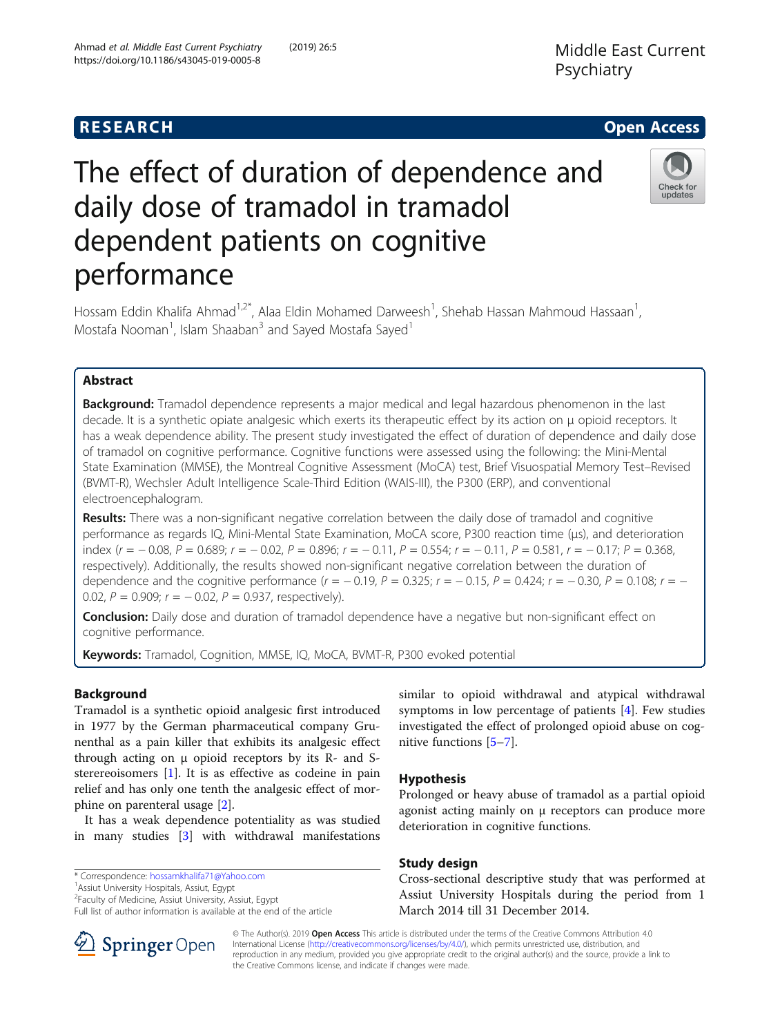# The effect of duration of dependence and daily dose of tramadol in tramadol dependent patients on cognitive performance



Hossam Eddin Khalifa Ahmad<sup>1,2\*</sup>, Alaa Eldin Mohamed Darweesh<sup>1</sup>, Shehab Hassan Mahmoud Hassaan<sup>1</sup> , Mostafa Nooman<sup>1</sup>, Islam Shaaban<sup>3</sup> and Sayed Mostafa Sayed<sup>1</sup>

# Abstract

**Background:** Tramadol dependence represents a major medical and legal hazardous phenomenon in the last decade. It is a synthetic opiate analgesic which exerts its therapeutic effect by its action on μ opioid receptors. It has a weak dependence ability. The present study investigated the effect of duration of dependence and daily dose of tramadol on cognitive performance. Cognitive functions were assessed using the following: the Mini-Mental State Examination (MMSE), the Montreal Cognitive Assessment (MoCA) test, Brief Visuospatial Memory Test–Revised (BVMT-R), Wechsler Adult Intelligence Scale-Third Edition (WAIS-III), the P300 (ERP), and conventional electroencephalogram.

Results: There was a non-significant negative correlation between the daily dose of tramadol and cognitive performance as regards IQ, Mini-Mental State Examination, MoCA score, P300 reaction time (μs), and deterioration index  $(r = -0.08, P = 0.689; r = -0.02, P = 0.896; r = -0.11, P = 0.554; r = -0.11, P = 0.581, r = -0.17; P = 0.368, P = 0.689$ respectively). Additionally, the results showed non-significant negative correlation between the duration of dependence and the cognitive performance  $(r = -0.19, P = 0.325; r = -0.15, P = 0.424; r = -0.30, P = 0.108; r = -0.30$ 0.02,  $P = 0.909$ ;  $r = -0.02$ ,  $P = 0.937$ , respectively).

**Conclusion:** Daily dose and duration of tramadol dependence have a negative but non-significant effect on cognitive performance.

Keywords: Tramadol, Cognition, MMSE, IQ, MoCA, BVMT-R, P300 evoked potential

# Background

Tramadol is a synthetic opioid analgesic first introduced in 1977 by the German pharmaceutical company Grunenthal as a pain killer that exhibits its analgesic effect through acting on μ opioid receptors by its R- and Ssterereoisomers [\[1\]](#page-4-0). It is as effective as codeine in pain relief and has only one tenth the analgesic effect of morphine on parenteral usage [[2\]](#page-4-0).

It has a weak dependence potentiality as was studied in many studies [\[3](#page-4-0)] with withdrawal manifestations

<sup>1</sup> Assiut University Hospitals, Assiut, Egypt

<sup>2</sup> Faculty of Medicine, Assiut University, Assiut, Egypt

Full list of author information is available at the end of the article

similar to opioid withdrawal and atypical withdrawal symptoms in low percentage of patients [[4\]](#page-4-0). Few studies investigated the effect of prolonged opioid abuse on cognitive functions [\[5](#page-4-0)–[7](#page-4-0)].

# Hypothesis

Prolonged or heavy abuse of tramadol as a partial opioid agonist acting mainly on μ receptors can produce more deterioration in cognitive functions.

# Study design

Cross-sectional descriptive study that was performed at Assiut University Hospitals during the period from 1 March 2014 till 31 December 2014.



© The Author(s). 2019 Open Access This article is distributed under the terms of the Creative Commons Attribution 4.0 International License ([http://creativecommons.org/licenses/by/4.0/\)](http://creativecommons.org/licenses/by/4.0/), which permits unrestricted use, distribution, and reproduction in any medium, provided you give appropriate credit to the original author(s) and the source, provide a link to the Creative Commons license, and indicate if changes were made.

<sup>\*</sup> Correspondence: [hossamkhalifa71@Yahoo.com](mailto:hossamkhalifa71@Yahoo.com) <sup>1</sup>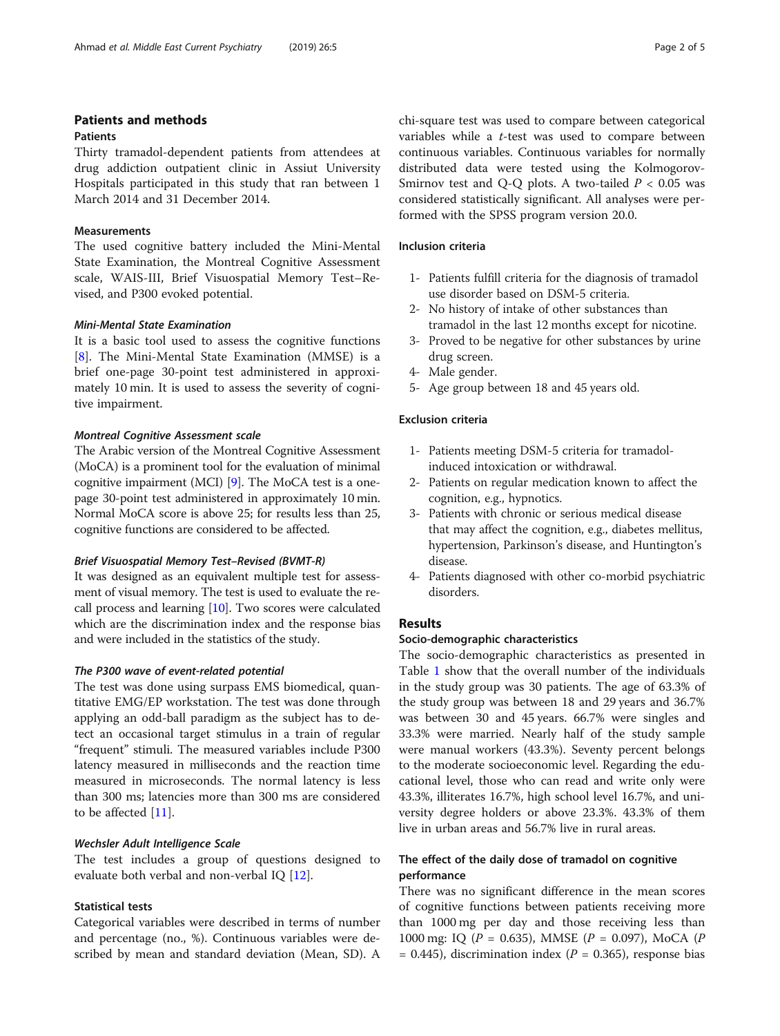# Patients and methods

# **Patients**

Thirty tramadol-dependent patients from attendees at drug addiction outpatient clinic in Assiut University Hospitals participated in this study that ran between 1 March 2014 and 31 December 2014.

#### Measurements

The used cognitive battery included the Mini-Mental State Examination, the Montreal Cognitive Assessment scale, WAIS-III, Brief Visuospatial Memory Test–Revised, and P300 evoked potential.

#### Mini-Mental State Examination

It is a basic tool used to assess the cognitive functions [[8\]](#page-4-0). The Mini-Mental State Examination (MMSE) is a brief one-page 30-point test administered in approximately 10 min. It is used to assess the severity of cognitive impairment.

# Montreal Cognitive Assessment scale

The Arabic version of the Montreal Cognitive Assessment (MoCA) is a prominent tool for the evaluation of minimal cognitive impairment (MCI) [\[9](#page-4-0)]. The MoCA test is a onepage 30-point test administered in approximately 10 min. Normal MoCA score is above 25; for results less than 25, cognitive functions are considered to be affected.

#### Brief Visuospatial Memory Test–Revised (BVMT-R)

It was designed as an equivalent multiple test for assessment of visual memory. The test is used to evaluate the recall process and learning [\[10\]](#page-4-0). Two scores were calculated which are the discrimination index and the response bias and were included in the statistics of the study.

# The P300 wave of event-related potential

The test was done using surpass EMS biomedical, quantitative EMG/EP workstation. The test was done through applying an odd-ball paradigm as the subject has to detect an occasional target stimulus in a train of regular "frequent" stimuli. The measured variables include P300 latency measured in milliseconds and the reaction time measured in microseconds. The normal latency is less than 300 ms; latencies more than 300 ms are considered to be affected [\[11](#page-4-0)].

#### Wechsler Adult Intelligence Scale

The test includes a group of questions designed to evaluate both verbal and non-verbal IQ [\[12\]](#page-4-0).

# Statistical tests

Categorical variables were described in terms of number and percentage (no., %). Continuous variables were described by mean and standard deviation (Mean, SD). A chi-square test was used to compare between categorical variables while a t-test was used to compare between continuous variables. Continuous variables for normally distributed data were tested using the Kolmogorov-Smirnov test and Q-Q plots. A two-tailed  $P < 0.05$  was considered statistically significant. All analyses were performed with the SPSS program version 20.0.

#### Inclusion criteria

- 1- Patients fulfill criteria for the diagnosis of tramadol use disorder based on DSM-5 criteria.
- 2- No history of intake of other substances than tramadol in the last 12 months except for nicotine.
- 3- Proved to be negative for other substances by urine drug screen.
- 4- Male gender.
- 5- Age group between 18 and 45 years old.

# Exclusion criteria

- 1- Patients meeting DSM-5 criteria for tramadolinduced intoxication or withdrawal.
- 2- Patients on regular medication known to affect the cognition, e.g., hypnotics.
- 3- Patients with chronic or serious medical disease that may affect the cognition, e.g., diabetes mellitus, hypertension, Parkinson's disease, and Huntington's disease.
- 4- Patients diagnosed with other co-morbid psychiatric disorders.

# Results

# Socio-demographic characteristics

The socio-demographic characteristics as presented in Table [1](#page-2-0) show that the overall number of the individuals in the study group was 30 patients. The age of 63.3% of the study group was between 18 and 29 years and 36.7% was between 30 and 45 years. 66.7% were singles and 33.3% were married. Nearly half of the study sample were manual workers (43.3%). Seventy percent belongs to the moderate socioeconomic level. Regarding the educational level, those who can read and write only were 43.3%, illiterates 16.7%, high school level 16.7%, and university degree holders or above 23.3%. 43.3% of them live in urban areas and 56.7% live in rural areas.

# The effect of the daily dose of tramadol on cognitive performance

There was no significant difference in the mean scores of cognitive functions between patients receiving more than 1000 mg per day and those receiving less than 1000 mg: IQ ( $P = 0.635$ ), MMSE ( $P = 0.097$ ), MoCA ( $P = 0.097$ )  $= 0.445$ ), discrimination index ( $P = 0.365$ ), response bias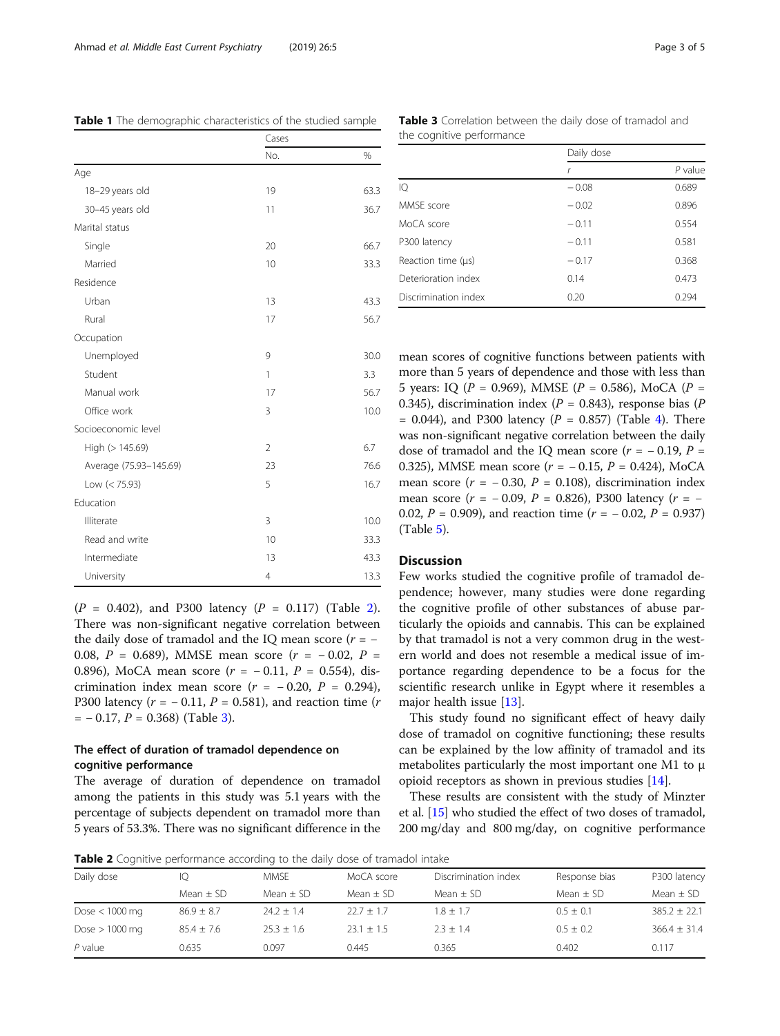$(P = 0.402)$ , and P300 latency  $(P = 0.117)$  (Table 2). There was non-significant negative correlation between the daily dose of tramadol and the IQ mean score  $(r = -$ 0.08,  $P = 0.689$ ), MMSE mean score  $(r = -0.02, P =$ 0.896), MoCA mean score ( $r = -0.11$ ,  $P = 0.554$ ), discrimination index mean score  $(r = -0.20, P = 0.294)$ , P300 latency ( $r = -0.11$ ,  $P = 0.581$ ), and reaction time ( $r$  $= -0.17$ ,  $P = 0.368$ ) (Table 3).

# The effect of duration of tramadol dependence on cognitive performance

The average of duration of dependence on tramadol among the patients in this study was 5.1 years with the percentage of subjects dependent on tramadol more than 5 years of 53.3%. There was no significant difference in the mean scores of cognitive functions between patients with more than 5 years of dependence and those with less than 5 years: IQ ( $P = 0.969$ ), MMSE ( $P = 0.586$ ), MoCA ( $P =$ 0.345), discrimination index ( $P = 0.843$ ), response bias ( $P = 0.345$ )  $= 0.044$  $= 0.044$  $= 0.044$ ), and P300 latency ( $P = 0.857$ ) (Table 4). There was non-significant negative correlation between the daily dose of tramadol and the IQ mean score  $(r = -0.19, P =$ 0.325), MMSE mean score ( $r = -0.15$ ,  $P = 0.424$ ), MoCA mean score ( $r = -0.30$ ,  $P = 0.108$ ), discrimination index mean score ( $r = -0.09$ ,  $P = 0.826$ ), P300 latency ( $r = -$ 0.02,  $P = 0.909$ ), and reaction time  $(r = -0.02, P = 0.937)$ (Table [5\)](#page-3-0).

# Discussion

Few works studied the cognitive profile of tramadol dependence; however, many studies were done regarding the cognitive profile of other substances of abuse particularly the opioids and cannabis. This can be explained by that tramadol is not a very common drug in the western world and does not resemble a medical issue of importance regarding dependence to be a focus for the scientific research unlike in Egypt where it resembles a major health issue [[13](#page-4-0)].

This study found no significant effect of heavy daily dose of tramadol on cognitive functioning; these results can be explained by the low affinity of tramadol and its metabolites particularly the most important one M1 to μ opioid receptors as shown in previous studies [[14](#page-4-0)].

These results are consistent with the study of Minzter et al. [[15](#page-4-0)] who studied the effect of two doses of tramadol, 200 mg/day and 800 mg/day, on cognitive performance



| Daily dose       | 10             | <b>MMSE</b>  | MoCA score   | Discrimination index                                 | Response bias | P300 latency     |
|------------------|----------------|--------------|--------------|------------------------------------------------------|---------------|------------------|
|                  | Mean $\pm$ SD  | Mean $+$ SD  | $Mean + SD$  | Mean $\pm$ SD<br>$1.8 + 1.7$<br>$2.3 + 1.4$<br>0.365 | Mean $\pm$ SD | Mean $\pm$ SD    |
| Dose $<$ 1000 mg | $86.9 \pm 8.7$ | $24.2 + 1.4$ | $22.7 + 1.7$ |                                                      | $0.5 \pm 0.1$ | $385.2 \pm 22.1$ |
| Dose $> 1000$ mg | $85.4 + 7.6$   | $25.3 + 1.6$ | $23.1 + 1.5$ |                                                      | $0.5 \pm 0.2$ | $366.4 \pm 31.4$ |
| $P$ value        | 0.635          | 0.097        | 0.445        |                                                      | 0.402         | 0.117            |

<span id="page-2-0"></span>Table 1 The demographic characteristics of the studied sample

|                        | Cases          |      |  |
|------------------------|----------------|------|--|
|                        | No.            | %    |  |
| Age                    |                |      |  |
| 18-29 years old        | 19             | 63.3 |  |
| 30-45 years old        | 11             | 36.7 |  |
| Marital status         |                |      |  |
| Single                 | 20             | 66.7 |  |
| Married                | 10             | 33.3 |  |
| Residence              |                |      |  |
| Urban                  | 13             | 43.3 |  |
| Rural                  | 17             | 56.7 |  |
| Occupation             |                |      |  |
| Unemployed             | 9              | 30.0 |  |
| Student                | 1              | 3.3  |  |
| Manual work            | 17             | 56.7 |  |
| Office work            | 3              | 10.0 |  |
| Socioeconomic level    |                |      |  |
| High (> 145.69)        | $\overline{2}$ | 6.7  |  |
| Average (75.93-145.69) | 23             | 76.6 |  |
| Low (< 75.93)          | 5              | 16.7 |  |
| Education              |                |      |  |
| Illiterate             | 3              | 10.0 |  |
| Read and write         | 10             | 33.3 |  |
| Intermediate           | 13             | 43.3 |  |
| University             | $\overline{4}$ | 13.3 |  |

Table 3 Correlation between the daily dose of tramadol and the cognitive performance

|                         | Daily dose |           |
|-------------------------|------------|-----------|
|                         | r          | $P$ value |
| IQ                      | $-0.08$    | 0.689     |
| MMSE score              | $-0.02$    | 0.896     |
| MoCA score              | $-0.11$    | 0.554     |
| P300 latency            | $-0.11$    | 0.581     |
| Reaction time $(\mu s)$ | $-0.17$    | 0.368     |
| Deterioration index     | 0.14       | 0.473     |
| Discrimination index    | 0.20       | 0.294     |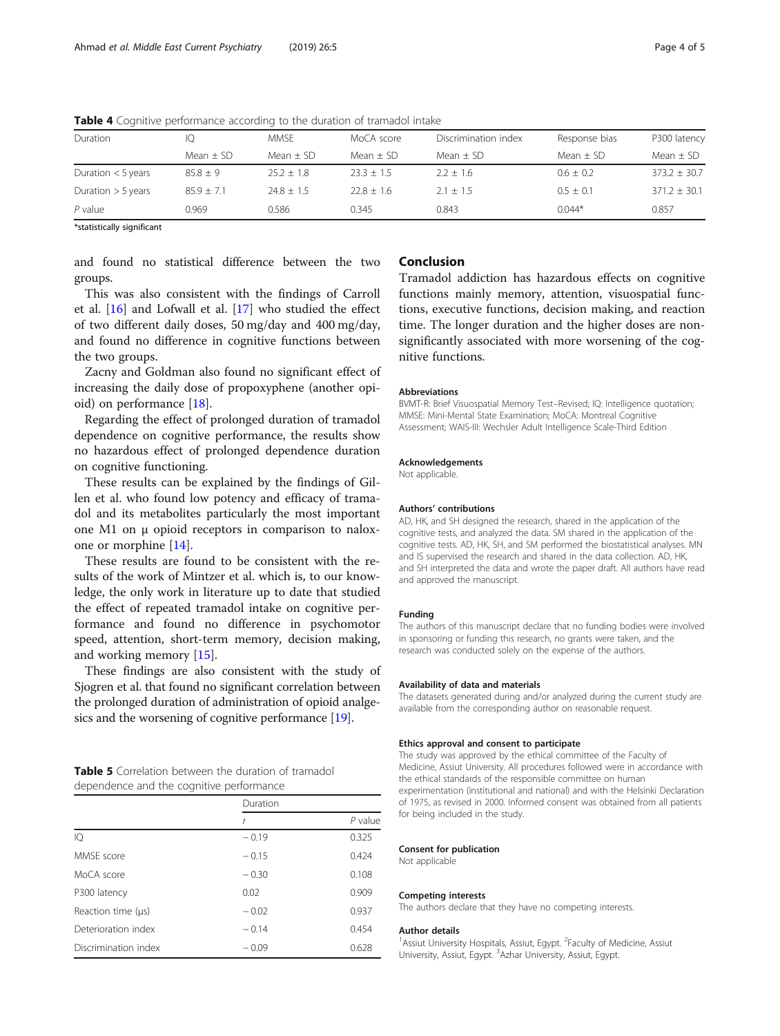| Duration             | 10             | <b>MMSE</b>   | MoCA score   | Discrimination index | Response bias | P300 latency     |
|----------------------|----------------|---------------|--------------|----------------------|---------------|------------------|
|                      | Mean $\pm$ SD  | Mean $\pm$ SD | Mean $+$ SD  | Mean $\pm$ SD        | Mean $\pm$ SD | Mean $\pm$ SD    |
| Duration $<$ 5 years | $85.8 + 9$     | $25.2 + 1.8$  | $23.3 + 1.5$ | $2.2 \pm 1.6$        | $0.6 \pm 0.2$ | $373.2 \pm 30.7$ |
| Duration $>$ 5 years | $85.9 \pm 7.1$ | $74.8 + 1.5$  | $22.8 + 1.6$ | $2.1 + 1.5$          | $0.5 \pm 0.1$ | $371.2 \pm 30.1$ |
| $P$ value            | 0.969          | 0.586         | 0.345        | 0.843                | $0.044*$      | 0.857            |

<span id="page-3-0"></span>Table 4 Cognitive performance according to the duration of tramadol intake

\*statistically significant

and found no statistical difference between the two groups.

This was also consistent with the findings of Carroll et al. [\[16\]](#page-4-0) and Lofwall et al. [[17](#page-4-0)] who studied the effect of two different daily doses, 50 mg/day and 400 mg/day, and found no difference in cognitive functions between the two groups.

Zacny and Goldman also found no significant effect of increasing the daily dose of propoxyphene (another opioid) on performance [[18\]](#page-4-0).

Regarding the effect of prolonged duration of tramadol dependence on cognitive performance, the results show no hazardous effect of prolonged dependence duration on cognitive functioning.

These results can be explained by the findings of Gillen et al. who found low potency and efficacy of tramadol and its metabolites particularly the most important one M1 on μ opioid receptors in comparison to naloxone or morphine [\[14](#page-4-0)].

These results are found to be consistent with the results of the work of Mintzer et al. which is, to our knowledge, the only work in literature up to date that studied the effect of repeated tramadol intake on cognitive performance and found no difference in psychomotor speed, attention, short-term memory, decision making, and working memory [[15\]](#page-4-0).

These findings are also consistent with the study of Sjogren et al. that found no significant correlation between the prolonged duration of administration of opioid analgesics and the worsening of cognitive performance [[19](#page-4-0)].

# Table 5 Correlation between the duration of tramadol dependence and the cognitive performance

|                         | Duration |           |
|-------------------------|----------|-----------|
|                         | r        | $P$ value |
| IQ                      | $-0.19$  | 0.325     |
| MMSE score              | $-0.15$  | 0.424     |
| MoCA score              | $-0.30$  | 0.108     |
| P300 latency            | 0.02     | 0.909     |
| Reaction time $(\mu s)$ | $-0.02$  | 0.937     |
| Deterioration index     | $-0.14$  | 0.454     |
| Discrimination index    | $-0.09$  | 0.628     |

# Conclusion

Tramadol addiction has hazardous effects on cognitive functions mainly memory, attention, visuospatial functions, executive functions, decision making, and reaction time. The longer duration and the higher doses are nonsignificantly associated with more worsening of the cognitive functions.

#### Abbreviations

BVMT-R: Brief Visuospatial Memory Test–Revised; IQ: Intelligence quotation; MMSE: Mini-Mental State Examination; MoCA: Montreal Cognitive Assessment; WAIS-III: Wechsler Adult Intelligence Scale-Third Edition

#### Acknowledgements

Not applicable.

#### Authors' contributions

AD, HK, and SH designed the research, shared in the application of the cognitive tests, and analyzed the data. SM shared in the application of the cognitive tests. AD, HK, SH, and SM performed the biostatistical analyses. MN and IS supervised the research and shared in the data collection. AD, HK, and SH interpreted the data and wrote the paper draft. All authors have read and approved the manuscript.

#### Funding

The authors of this manuscript declare that no funding bodies were involved in sponsoring or funding this research, no grants were taken, and the research was conducted solely on the expense of the authors.

#### Availability of data and materials

The datasets generated during and/or analyzed during the current study are available from the corresponding author on reasonable request.

#### Ethics approval and consent to participate

The study was approved by the ethical committee of the Faculty of Medicine, Assiut University. All procedures followed were in accordance with the ethical standards of the responsible committee on human experimentation (institutional and national) and with the Helsinki Declaration of 1975, as revised in 2000. Informed consent was obtained from all patients for being included in the study.

#### Consent for publication

Not applicable

#### Competing interests

The authors declare that they have no competing interests.

#### Author details

<sup>1</sup> Assiut University Hospitals, Assiut, Egypt. <sup>2</sup> Faculty of Medicine, Assiut University, Assiut, Egypt. <sup>3</sup>Azhar University, Assiut, Egypt.